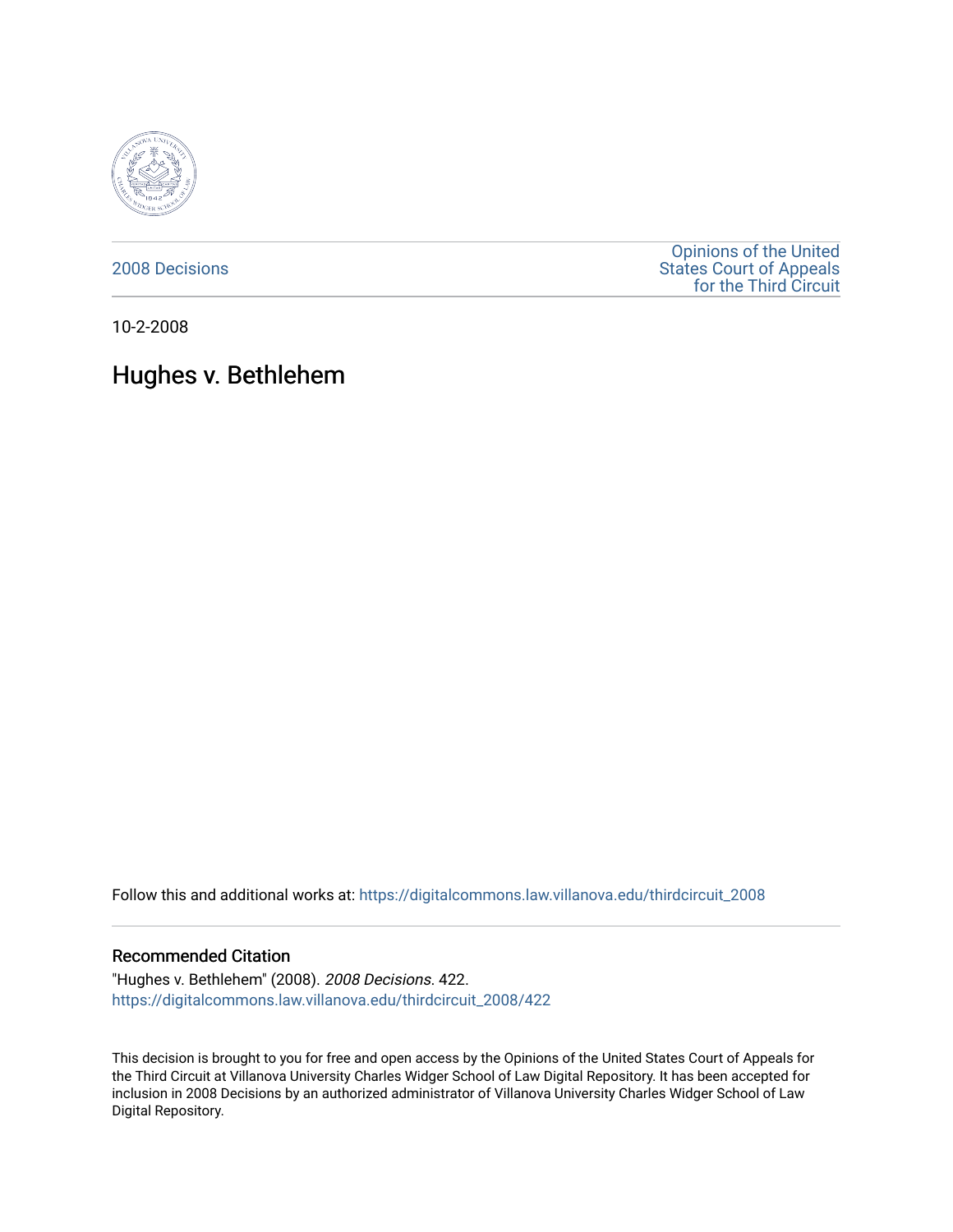

[2008 Decisions](https://digitalcommons.law.villanova.edu/thirdcircuit_2008)

[Opinions of the United](https://digitalcommons.law.villanova.edu/thirdcircuit)  [States Court of Appeals](https://digitalcommons.law.villanova.edu/thirdcircuit)  [for the Third Circuit](https://digitalcommons.law.villanova.edu/thirdcircuit) 

10-2-2008

# Hughes v. Bethlehem

Follow this and additional works at: [https://digitalcommons.law.villanova.edu/thirdcircuit\\_2008](https://digitalcommons.law.villanova.edu/thirdcircuit_2008?utm_source=digitalcommons.law.villanova.edu%2Fthirdcircuit_2008%2F422&utm_medium=PDF&utm_campaign=PDFCoverPages) 

#### Recommended Citation

"Hughes v. Bethlehem" (2008). 2008 Decisions. 422. [https://digitalcommons.law.villanova.edu/thirdcircuit\\_2008/422](https://digitalcommons.law.villanova.edu/thirdcircuit_2008/422?utm_source=digitalcommons.law.villanova.edu%2Fthirdcircuit_2008%2F422&utm_medium=PDF&utm_campaign=PDFCoverPages)

This decision is brought to you for free and open access by the Opinions of the United States Court of Appeals for the Third Circuit at Villanova University Charles Widger School of Law Digital Repository. It has been accepted for inclusion in 2008 Decisions by an authorized administrator of Villanova University Charles Widger School of Law Digital Repository.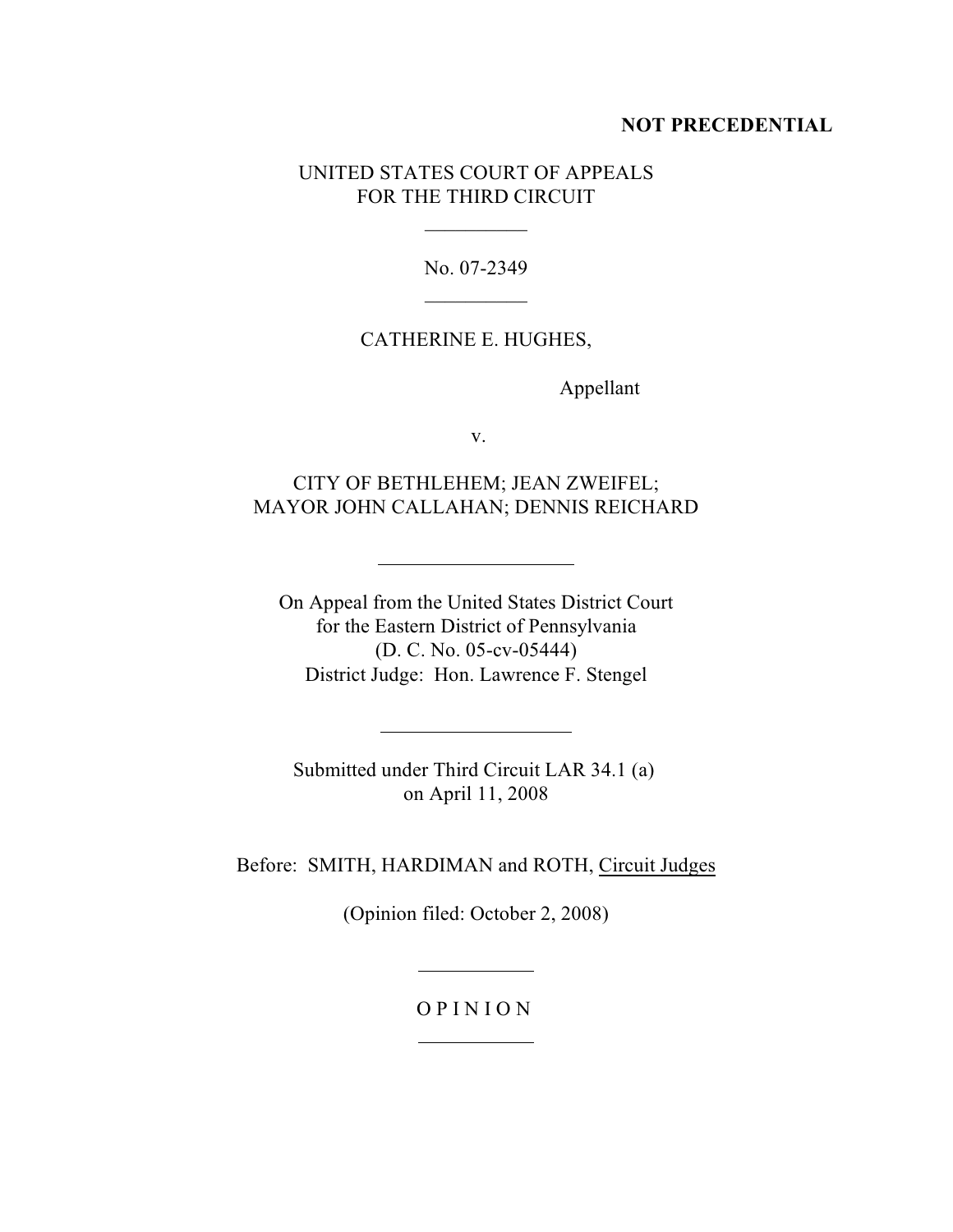## **NOT PRECEDENTIAL**

# UNITED STATES COURT OF APPEALS FOR THE THIRD CIRCUIT

No. 07-2349  $\frac{1}{2}$  . The set of the set of the set of the set of the set of the set of the set of the set of the set of the set of the set of the set of the set of the set of the set of the set of the set of the set of the set of

 $\frac{1}{2}$  . The set of the set of the set of the set of the set of the set of the set of the set of the set of the set of the set of the set of the set of the set of the set of the set of the set of the set of the set of

## CATHERINE E. HUGHES,

Appellant

v.

# CITY OF BETHLEHEM; JEAN ZWEIFEL; MAYOR JOHN CALLAHAN; DENNIS REICHARD

 $\overline{a}$ 

 $\ddot{\phantom{a}}$ 

On Appeal from the United States District Court for the Eastern District of Pennsylvania (D. C. No. 05-cv-05444) District Judge: Hon. Lawrence F. Stengel

Submitted under Third Circuit LAR 34.1 (a) on April 11, 2008

Before: SMITH, HARDIMAN and ROTH, Circuit Judges

(Opinion filed: October 2, 2008)

# O P I N I O N

 $\overline{a}$ 

 $\overline{a}$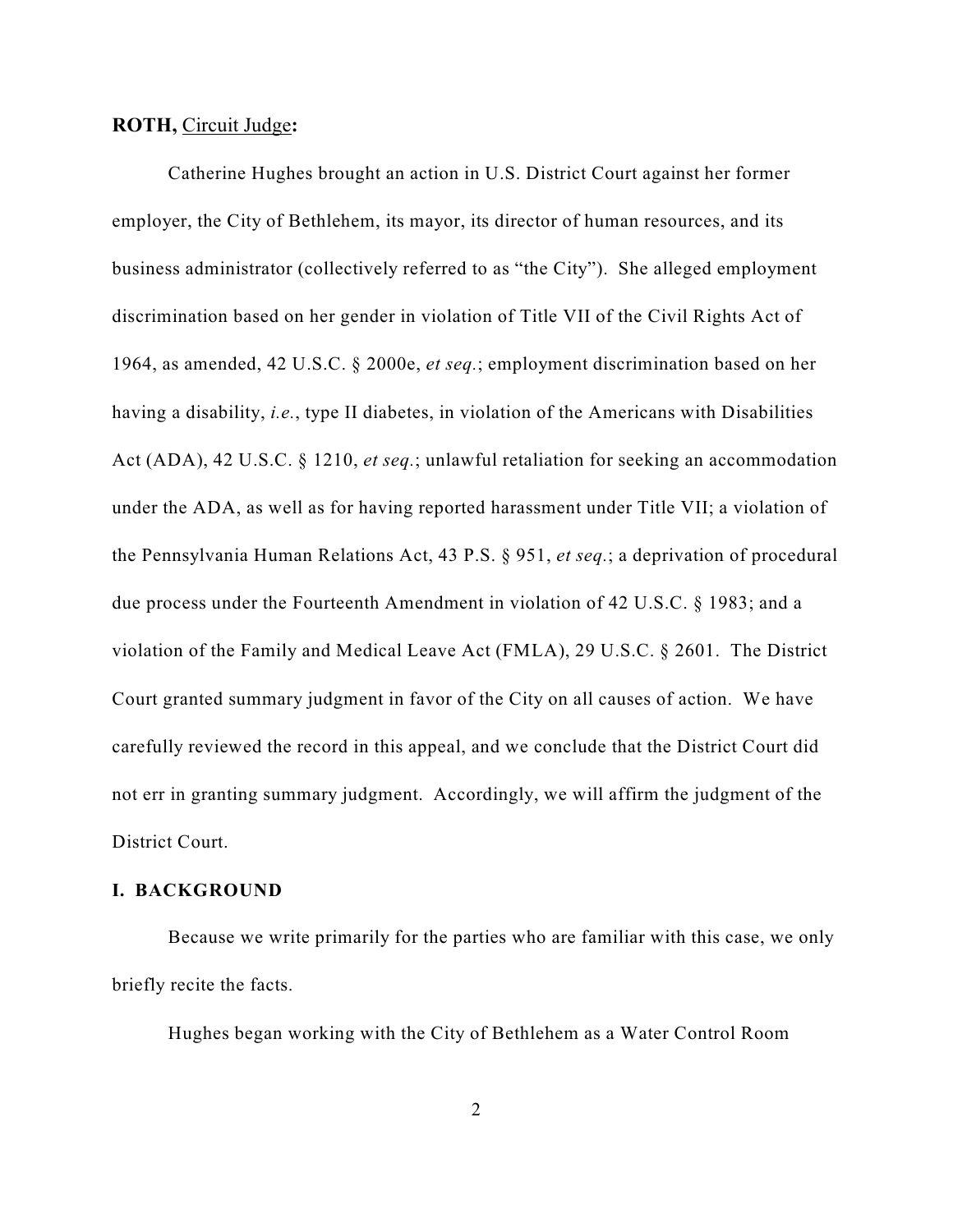## **ROTH,** Circuit Judge**:**

Catherine Hughes brought an action in U.S. District Court against her former employer, the City of Bethlehem, its mayor, its director of human resources, and its business administrator (collectively referred to as "the City"). She alleged employment discrimination based on her gender in violation of Title VII of the Civil Rights Act of 1964, as amended, 42 U.S.C. § 2000e, *et seq.*; employment discrimination based on her having a disability, *i.e.*, type II diabetes, in violation of the Americans with Disabilities Act (ADA), 42 U.S.C. § 1210, *et seq.*; unlawful retaliation for seeking an accommodation under the ADA, as well as for having reported harassment under Title VII; a violation of the Pennsylvania Human Relations Act, 43 P.S. § 951, *et seq.*; a deprivation of procedural due process under the Fourteenth Amendment in violation of 42 U.S.C. § 1983; and a violation of the Family and Medical Leave Act (FMLA), 29 U.S.C. § 2601. The District Court granted summary judgment in favor of the City on all causes of action. We have carefully reviewed the record in this appeal, and we conclude that the District Court did not err in granting summary judgment. Accordingly, we will affirm the judgment of the District Court.

## **I. BACKGROUND**

Because we write primarily for the parties who are familiar with this case, we only briefly recite the facts.

Hughes began working with the City of Bethlehem as a Water Control Room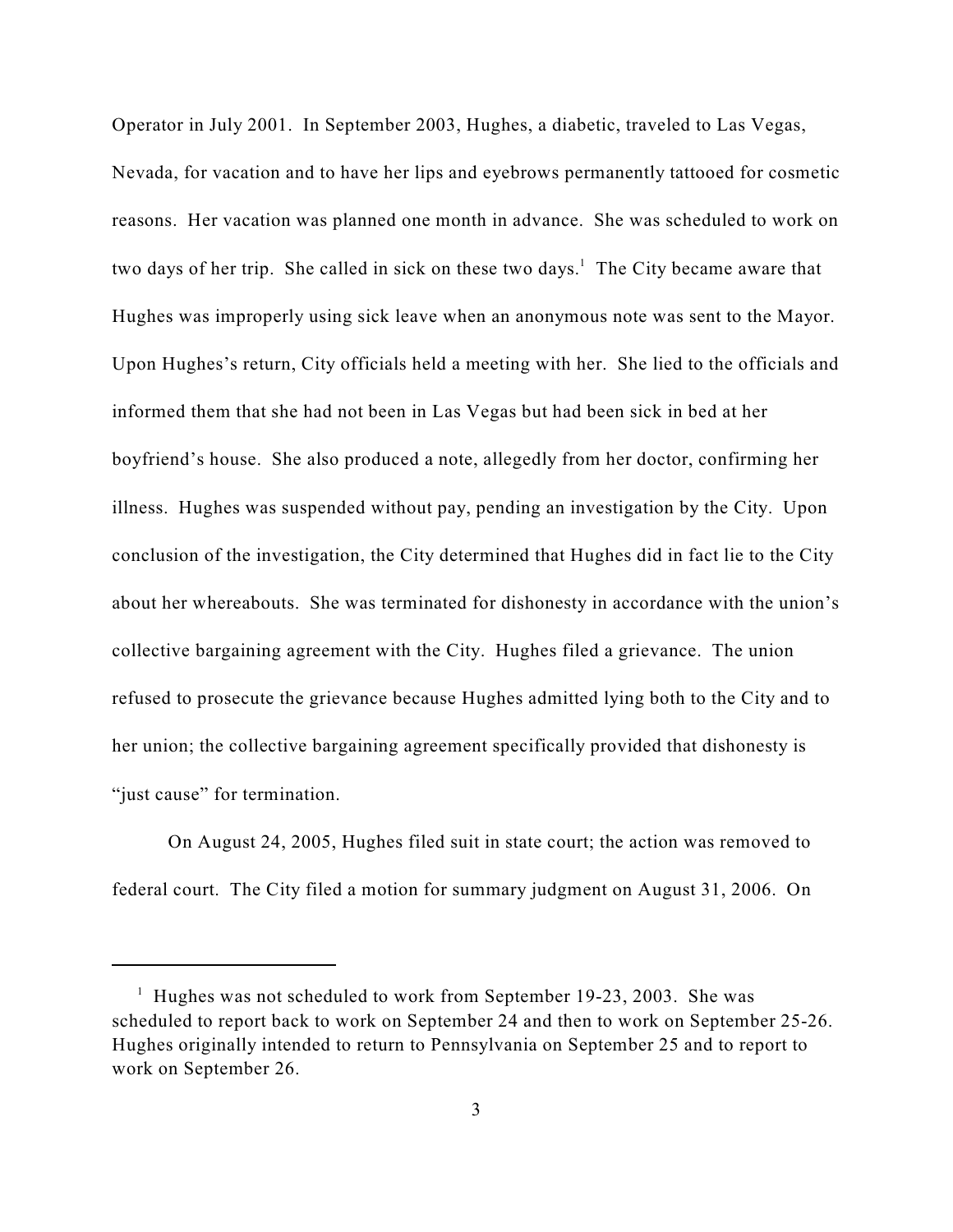Operator in July 2001. In September 2003, Hughes, a diabetic, traveled to Las Vegas, Nevada, for vacation and to have her lips and eyebrows permanently tattooed for cosmetic reasons. Her vacation was planned one month in advance. She was scheduled to work on two days of her trip. She called in sick on these two days.<sup>1</sup> The City became aware that Hughes was improperly using sick leave when an anonymous note was sent to the Mayor. Upon Hughes's return, City officials held a meeting with her. She lied to the officials and informed them that she had not been in Las Vegas but had been sick in bed at her boyfriend's house. She also produced a note, allegedly from her doctor, confirming her illness. Hughes was suspended without pay, pending an investigation by the City. Upon conclusion of the investigation, the City determined that Hughes did in fact lie to the City about her whereabouts. She was terminated for dishonesty in accordance with the union's collective bargaining agreement with the City. Hughes filed a grievance. The union refused to prosecute the grievance because Hughes admitted lying both to the City and to her union; the collective bargaining agreement specifically provided that dishonesty is "just cause" for termination.

On August 24, 2005, Hughes filed suit in state court; the action was removed to federal court. The City filed a motion for summary judgment on August 31, 2006. On

 $^1$  Hughes was not scheduled to work from September 19-23, 2003. She was scheduled to report back to work on September 24 and then to work on September 25-26. Hughes originally intended to return to Pennsylvania on September 25 and to report to work on September 26.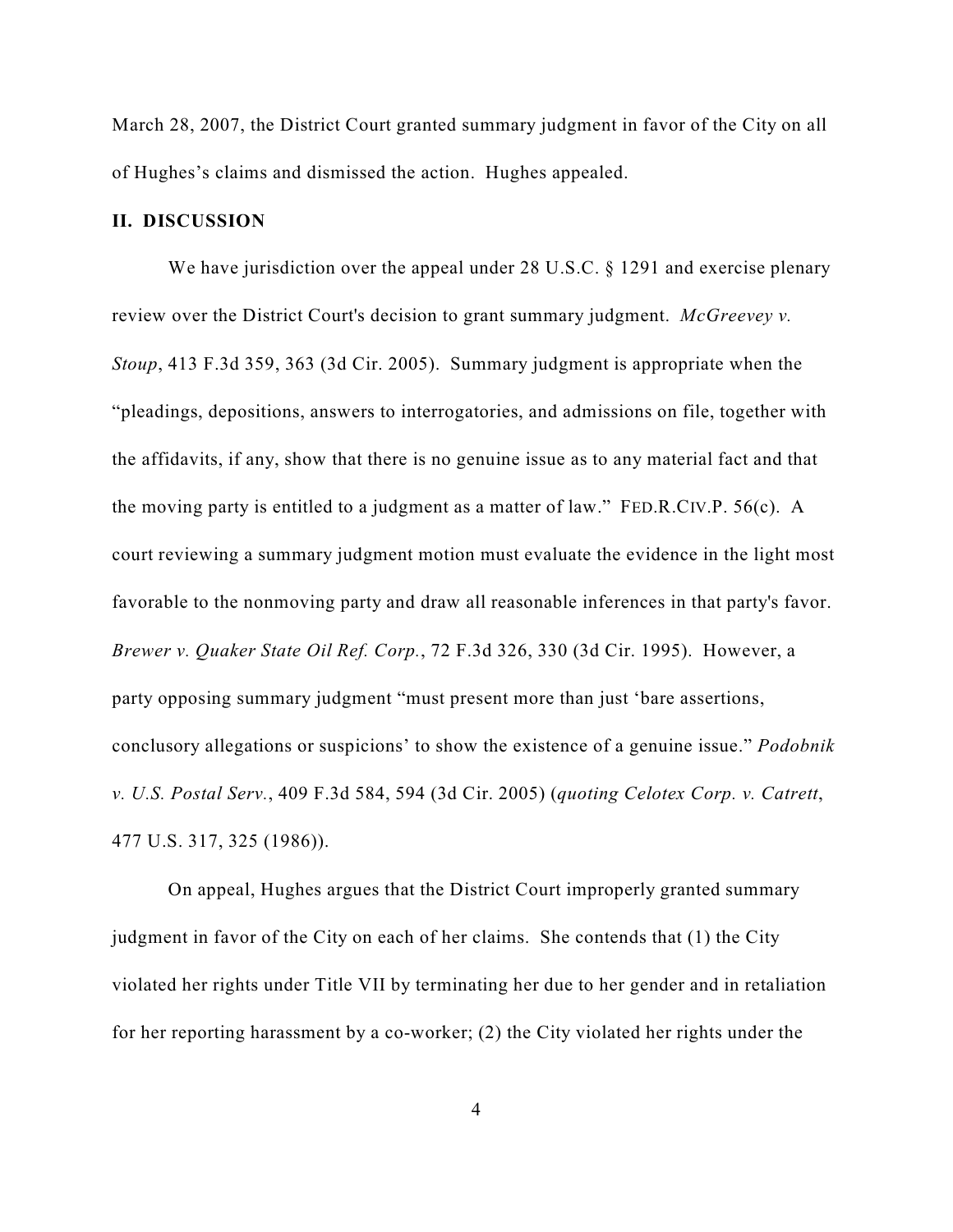March 28, 2007, the District Court granted summary judgment in favor of the City on all of Hughes's claims and dismissed the action. Hughes appealed.

## **II. DISCUSSION**

We have jurisdiction over the appeal under 28 U.S.C. § 1291 and exercise plenary review over the District Court's decision to grant summary judgment. *McGreevey v. Stoup*, 413 F.3d 359, 363 (3d Cir. 2005). Summary judgment is appropriate when the "pleadings, depositions, answers to interrogatories, and admissions on file, together with the affidavits, if any, show that there is no genuine issue as to any material fact and that the moving party is entitled to a judgment as a matter of law." FED.R.CIV.P. 56(c). A court reviewing a summary judgment motion must evaluate the evidence in the light most favorable to the nonmoving party and draw all reasonable inferences in that party's favor. *Brewer v. Quaker State Oil Ref. Corp.*, 72 F.3d 326, 330 (3d Cir. 1995). However, a party opposing summary judgment "must present more than just 'bare assertions, conclusory allegations or suspicions' to show the existence of a genuine issue." *Podobnik v. U.S. Postal Serv.*, 409 F.3d 584, 594 (3d Cir. 2005) (*quoting Celotex Corp. v. Catrett*, 477 U.S. 317, 325 (1986)).

On appeal, Hughes argues that the District Court improperly granted summary judgment in favor of the City on each of her claims. She contends that (1) the City violated her rights under Title VII by terminating her due to her gender and in retaliation for her reporting harassment by a co-worker; (2) the City violated her rights under the

4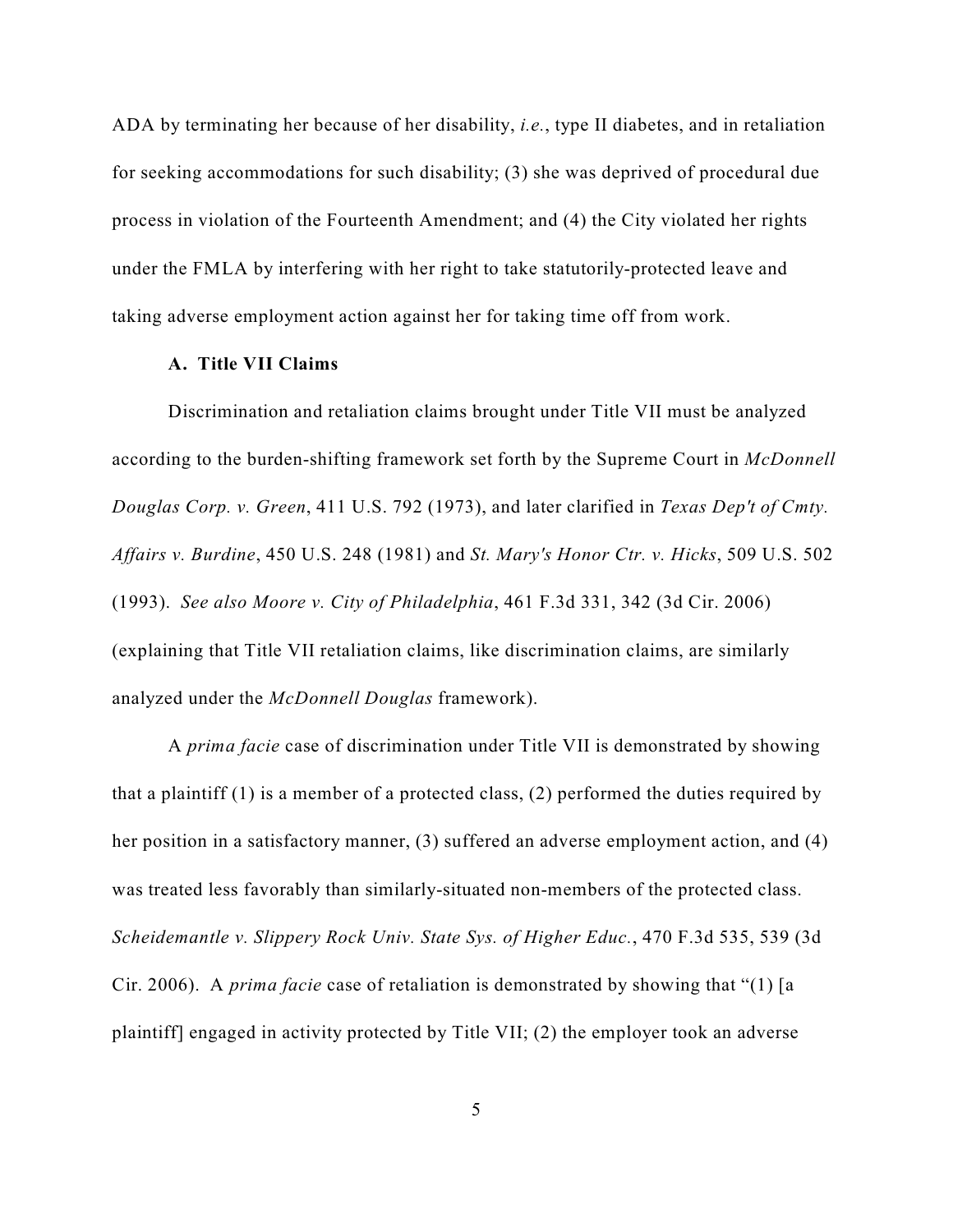ADA by terminating her because of her disability, *i.e.*, type II diabetes, and in retaliation for seeking accommodations for such disability; (3) she was deprived of procedural due process in violation of the Fourteenth Amendment; and (4) the City violated her rights under the FMLA by interfering with her right to take statutorily-protected leave and taking adverse employment action against her for taking time off from work.

#### **A. Title VII Claims**

Discrimination and retaliation claims brought under Title VII must be analyzed according to the burden-shifting framework set forth by the Supreme Court in *McDonnell Douglas Corp. v. Green*, 411 U.S. 792 (1973), and later clarified in *Texas Dep't of Cmty. Affairs v. Burdine*, 450 U.S. 248 (1981) and *St. Mary's Honor Ctr. v. Hicks*, 509 U.S. 502 (1993). *See also Moore v. City of Philadelphia*, 461 F.3d 331, 342 (3d Cir. 2006) (explaining that Title VII retaliation claims, like discrimination claims, are similarly analyzed under the *McDonnell Douglas* framework).

A *prima facie* case of discrimination under Title VII is demonstrated by showing that a plaintiff (1) is a member of a protected class, (2) performed the duties required by her position in a satisfactory manner, (3) suffered an adverse employment action, and (4) was treated less favorably than similarly-situated non-members of the protected class. *Scheidemantle v. Slippery Rock Univ. State Sys. of Higher Educ.*, 470 F.3d 535, 539 (3d Cir. 2006). A *prima facie* case of retaliation is demonstrated by showing that "(1) [a plaintiff] engaged in activity protected by Title VII; (2) the employer took an adverse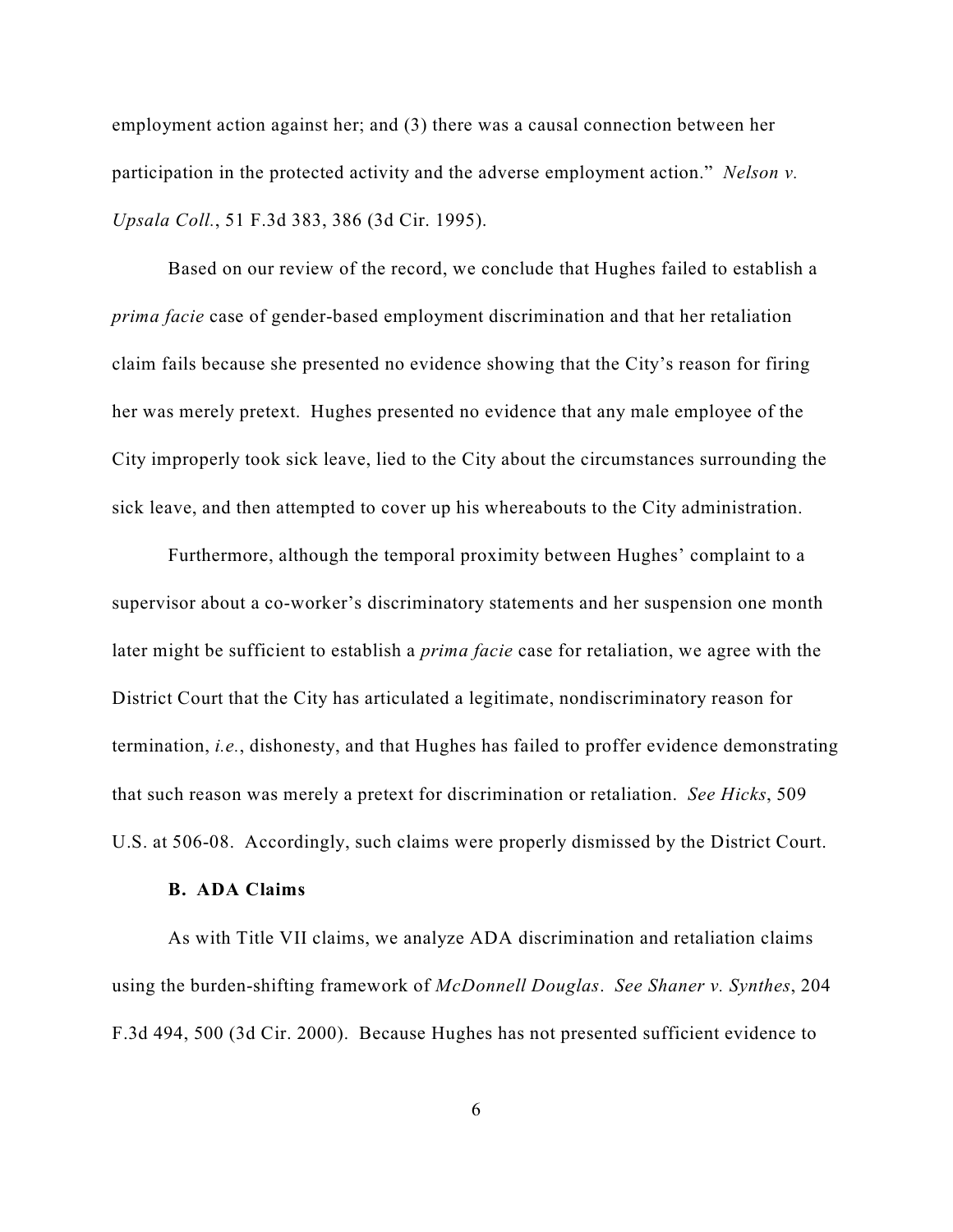employment action against her; and (3) there was a causal connection between her participation in the protected activity and the adverse employment action." *Nelson v. Upsala Coll.*, 51 F.3d 383, 386 (3d Cir. 1995).

Based on our review of the record, we conclude that Hughes failed to establish a *prima facie* case of gender-based employment discrimination and that her retaliation claim fails because she presented no evidence showing that the City's reason for firing her was merely pretext. Hughes presented no evidence that any male employee of the City improperly took sick leave, lied to the City about the circumstances surrounding the sick leave, and then attempted to cover up his whereabouts to the City administration.

Furthermore, although the temporal proximity between Hughes' complaint to a supervisor about a co-worker's discriminatory statements and her suspension one month later might be sufficient to establish a *prima facie* case for retaliation, we agree with the District Court that the City has articulated a legitimate, nondiscriminatory reason for termination, *i.e.*, dishonesty, and that Hughes has failed to proffer evidence demonstrating that such reason was merely a pretext for discrimination or retaliation. *See Hicks*, 509 U.S. at 506-08. Accordingly, such claims were properly dismissed by the District Court.

## **B. ADA Claims**

As with Title VII claims, we analyze ADA discrimination and retaliation claims using the burden-shifting framework of *McDonnell Douglas*. *See Shaner v. Synthes*, 204 F.3d 494, 500 (3d Cir. 2000). Because Hughes has not presented sufficient evidence to

6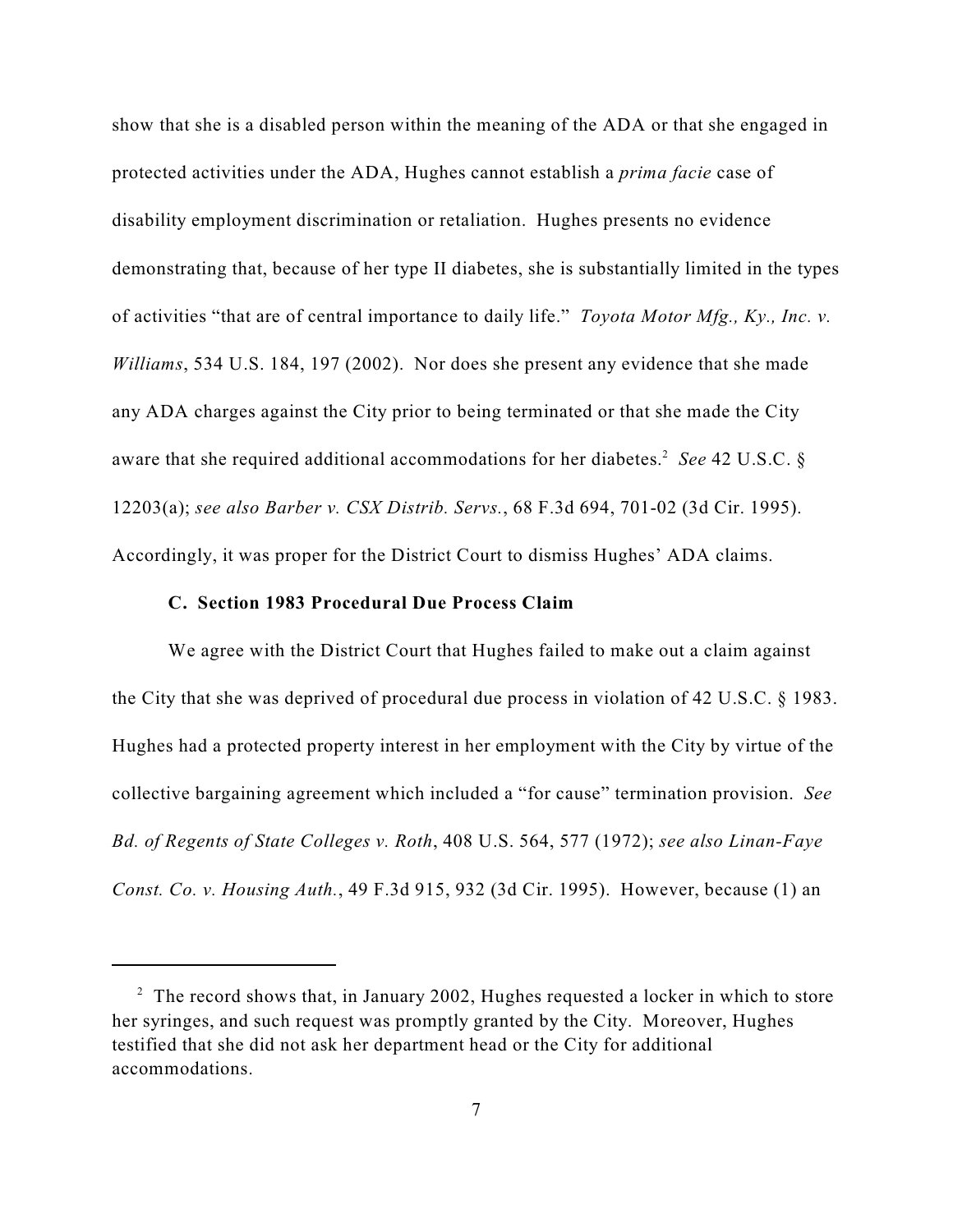show that she is a disabled person within the meaning of the ADA or that she engaged in protected activities under the ADA, Hughes cannot establish a *prima facie* case of disability employment discrimination or retaliation. Hughes presents no evidence demonstrating that, because of her type II diabetes, she is substantially limited in the types of activities "that are of central importance to daily life." *Toyota Motor Mfg., Ky., Inc. v. Williams*, 534 U.S. 184, 197 (2002). Nor does she present any evidence that she made any ADA charges against the City prior to being terminated or that she made the City aware that she required additional accommodations for her diabetes.<sup>2</sup> See 42 U.S.C. § 12203(a); *see also Barber v. CSX Distrib. Servs.*, 68 F.3d 694, 701-02 (3d Cir. 1995). Accordingly, it was proper for the District Court to dismiss Hughes' ADA claims.

#### **C. Section 1983 Procedural Due Process Claim**

We agree with the District Court that Hughes failed to make out a claim against the City that she was deprived of procedural due process in violation of 42 U.S.C. § 1983. Hughes had a protected property interest in her employment with the City by virtue of the collective bargaining agreement which included a "for cause" termination provision. *See Bd. of Regents of State Colleges v. Roth*, 408 U.S. 564, 577 (1972); *see also Linan-Faye Const. Co. v. Housing Auth.*, 49 F.3d 915, 932 (3d Cir. 1995). However, because (1) an

 $\frac{1}{2}$  The record shows that, in January 2002, Hughes requested a locker in which to store her syringes, and such request was promptly granted by the City. Moreover, Hughes testified that she did not ask her department head or the City for additional accommodations.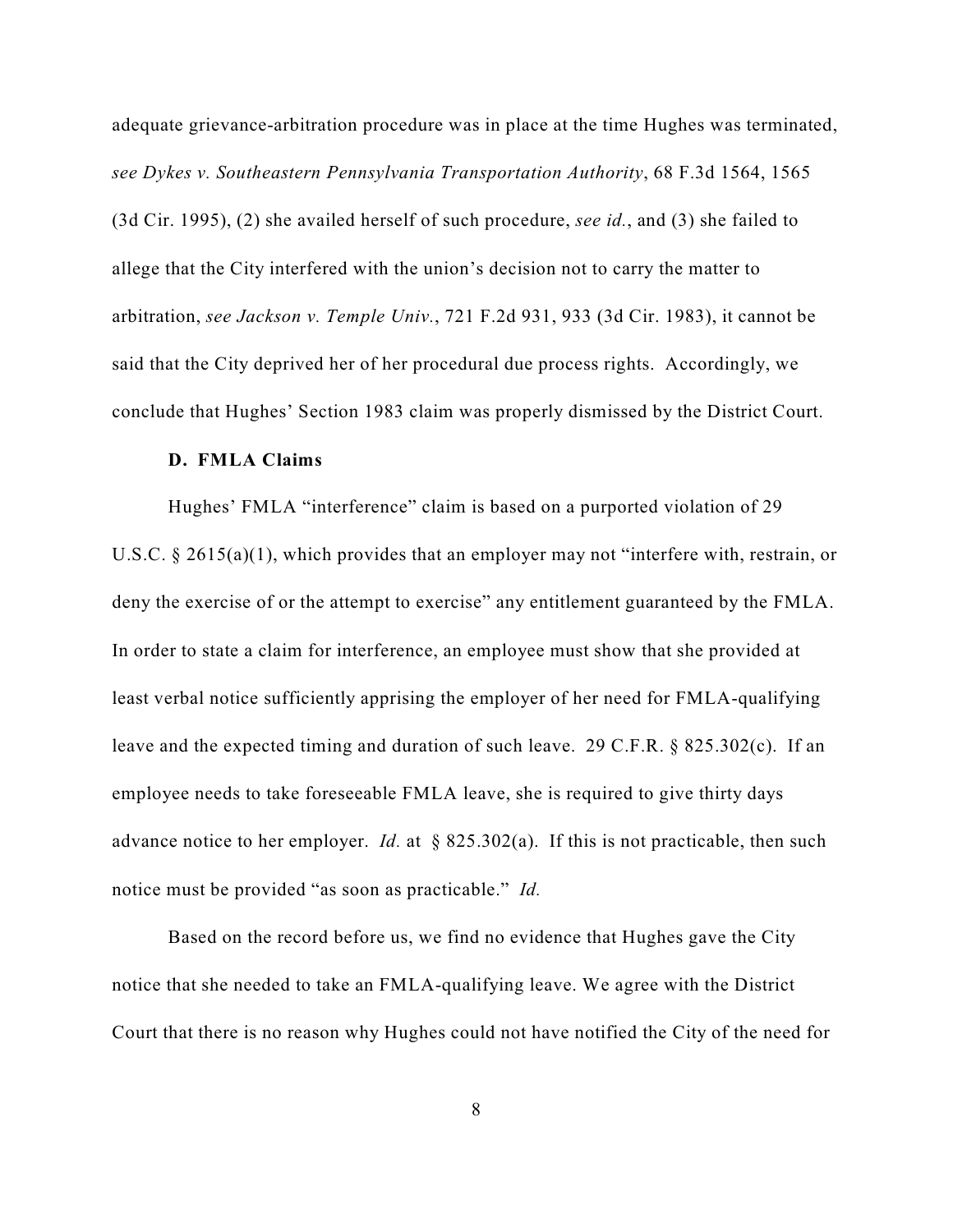adequate grievance-arbitration procedure was in place at the time Hughes was terminated, *see Dykes v. Southeastern Pennsylvania Transportation Authority*, 68 F.3d 1564, 1565 (3d Cir. 1995), (2) she availed herself of such procedure, *see id.*, and (3) she failed to allege that the City interfered with the union's decision not to carry the matter to arbitration, *see Jackson v. Temple Univ.*, 721 F.2d 931, 933 (3d Cir. 1983), it cannot be said that the City deprived her of her procedural due process rights. Accordingly, we conclude that Hughes' Section 1983 claim was properly dismissed by the District Court.

#### **D. FMLA Claims**

Hughes' FMLA "interference" claim is based on a purported violation of 29 U.S.C. § 2615(a)(1), which provides that an employer may not "interfere with, restrain, or deny the exercise of or the attempt to exercise" any entitlement guaranteed by the FMLA. In order to state a claim for interference, an employee must show that she provided at least verbal notice sufficiently apprising the employer of her need for FMLA-qualifying leave and the expected timing and duration of such leave. 29 C.F.R. § 825.302(c). If an employee needs to take foreseeable FMLA leave, she is required to give thirty days advance notice to her employer. *Id.* at  $\&$  825.302(a). If this is not practicable, then such notice must be provided "as soon as practicable." *Id.* 

Based on the record before us, we find no evidence that Hughes gave the City notice that she needed to take an FMLA-qualifying leave. We agree with the District Court that there is no reason why Hughes could not have notified the City of the need for